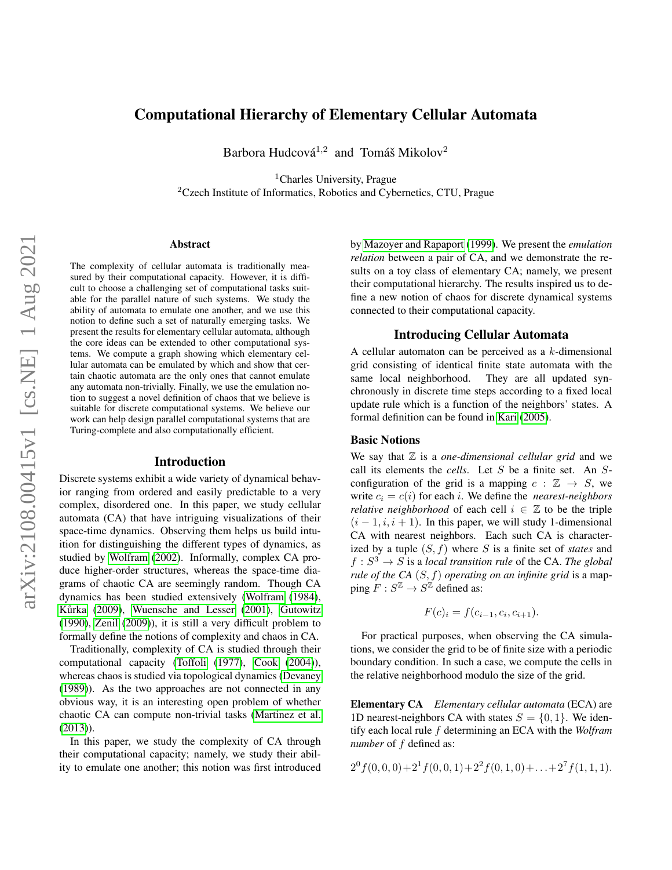## Computational Hierarchy of Elementary Cellular Automata

Barbora Hudcová<sup>1,2</sup> and Tomáš Mikolov<sup>2</sup>

<sup>1</sup>Charles University, Prague <sup>2</sup>Czech Institute of Informatics, Robotics and Cybernetics, CTU, Prague

### Abstract

The complexity of cellular automata is traditionally measured by their computational capacity. However, it is difficult to choose a challenging set of computational tasks suitable for the parallel nature of such systems. We study the ability of automata to emulate one another, and we use this notion to define such a set of naturally emerging tasks. We present the results for elementary cellular automata, although the core ideas can be extended to other computational systems. We compute a graph showing which elementary cellular automata can be emulated by which and show that certain chaotic automata are the only ones that cannot emulate any automata non-trivially. Finally, we use the emulation notion to suggest a novel definition of chaos that we believe is suitable for discrete computational systems. We believe our work can help design parallel computational systems that are Turing-complete and also computationally efficient.

### Introduction

Discrete systems exhibit a wide variety of dynamical behavior ranging from ordered and easily predictable to a very complex, disordered one. In this paper, we study cellular automata (CA) that have intriguing visualizations of their space-time dynamics. Observing them helps us build intuition for distinguishing the different types of dynamics, as studied by [Wolfram](#page-7-0) [\(2002\)](#page-7-0). Informally, complex CA produce higher-order structures, whereas the space-time diagrams of chaotic CA are seemingly random. Though CA dynamics has been studied extensively [\(Wolfram](#page-7-1) [\(1984\)](#page-7-1), Kůrka [\(2009\)](#page-7-2), [Wuensche and Lesser](#page-7-3) [\(2001\)](#page-7-3), [Gutowitz](#page-7-4) [\(1990\)](#page-7-4), [Zenil](#page-7-5) [\(2009\)](#page-7-5)), it is still a very difficult problem to formally define the notions of complexity and chaos in CA.

Traditionally, complexity of CA is studied through their computational capacity [\(Toffoli](#page-7-6) [\(1977\)](#page-7-6), [Cook](#page-7-7) [\(2004\)](#page-7-7)), whereas chaos is studied via topological dynamics [\(Devaney](#page-7-8) [\(1989\)](#page-7-8)). As the two approaches are not connected in any obvious way, it is an interesting open problem of whether chaotic CA can compute non-trivial tasks [\(Martinez et al.](#page-7-9) [\(2013\)](#page-7-9)).

In this paper, we study the complexity of CA through their computational capacity; namely, we study their ability to emulate one another; this notion was first introduced by [Mazoyer and Rapaport](#page-7-10) [\(1999\)](#page-7-10). We present the *emulation relation* between a pair of CA, and we demonstrate the results on a toy class of elementary CA; namely, we present their computational hierarchy. The results inspired us to define a new notion of chaos for discrete dynamical systems connected to their computational capacity.

## Introducing Cellular Automata

A cellular automaton can be perceived as a  $k$ -dimensional grid consisting of identical finite state automata with the same local neighborhood. They are all updated synchronously in discrete time steps according to a fixed local update rule which is a function of the neighbors' states. A formal definition can be found in [Kari](#page-7-11) [\(2005\)](#page-7-11).

### Basic Notions

We say that  $\mathbb Z$  is a *one-dimensional cellular grid* and we call its elements the *cells*. Let S be a finite set. An Sconfiguration of the grid is a mapping  $c : \mathbb{Z} \to S$ , we write  $c_i = c(i)$  for each *i*. We define the *nearest-neighbors relative neighborhood* of each cell  $i \in \mathbb{Z}$  to be the triple  $(i - 1, i, i + 1)$ . In this paper, we will study 1-dimensional CA with nearest neighbors. Each such CA is characterized by a tuple (S, f) where S is a finite set of *states* and  $f: S^3 \to S$  is a *local transition rule* of the CA. The global *rule of the CA* (S, f) *operating on an infinite grid* is a mapping  $F : S^{\mathbb{Z}} \to S^{\mathbb{Z}}$  defined as:

$$
F(c)_i = f(c_{i-1}, c_i, c_{i+1}).
$$

For practical purposes, when observing the CA simulations, we consider the grid to be of finite size with a periodic boundary condition. In such a case, we compute the cells in the relative neighborhood modulo the size of the grid.

Elementary CA *Elementary cellular automata* (ECA) are 1D nearest-neighbors CA with states  $S = \{0, 1\}$ . We identify each local rule f determining an ECA with the *Wolfram number* of  $f$  defined as:

$$
2^{0} f(0,0,0)+2^{1} f(0,0,1)+2^{2} f(0,1,0)+\ldots+2^{7} f(1,1,1).
$$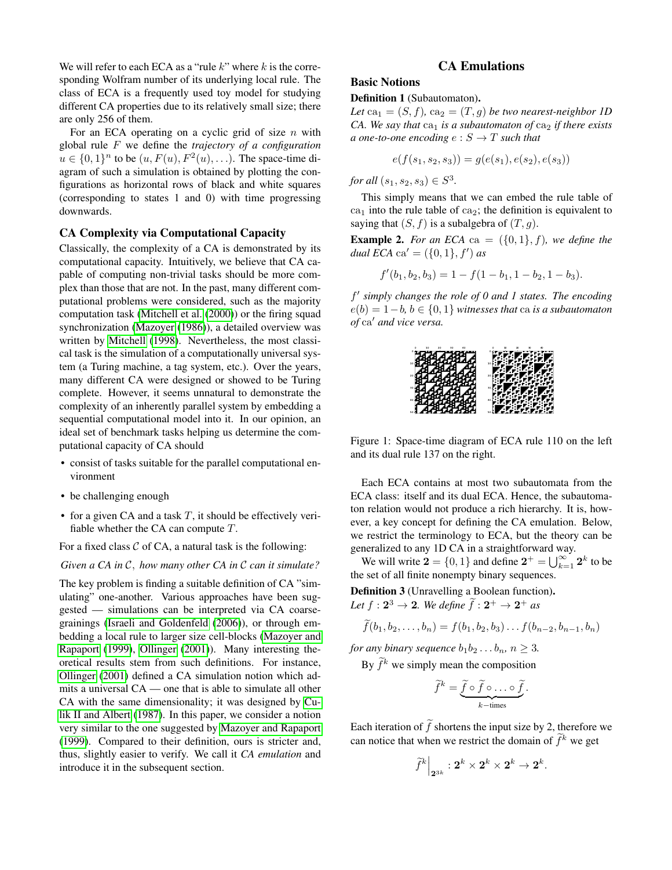We will refer to each ECA as a "rule  $k$ " where  $k$  is the corresponding Wolfram number of its underlying local rule. The class of ECA is a frequently used toy model for studying different CA properties due to its relatively small size; there are only 256 of them.

For an ECA operating on a cyclic grid of size  $n$  with global rule F we define the *trajectory of a configuration*  $u \in \{0,1\}^n$  to be  $(u, F(u), F^2(u), \ldots)$ . The space-time diagram of such a simulation is obtained by plotting the configurations as horizontal rows of black and white squares (corresponding to states 1 and 0) with time progressing downwards.

## CA Complexity via Computational Capacity

Classically, the complexity of a CA is demonstrated by its computational capacity. Intuitively, we believe that CA capable of computing non-trivial tasks should be more complex than those that are not. In the past, many different computational problems were considered, such as the majority computation task [\(Mitchell et al.](#page-7-12) [\(2000\)](#page-7-12)) or the firing squad synchronization [\(Mazoyer](#page-7-13) [\(1986\)](#page-7-13)), a detailed overview was written by [Mitchell](#page-7-14) [\(1998\)](#page-7-14). Nevertheless, the most classical task is the simulation of a computationally universal system (a Turing machine, a tag system, etc.). Over the years, many different CA were designed or showed to be Turing complete. However, it seems unnatural to demonstrate the complexity of an inherently parallel system by embedding a sequential computational model into it. In our opinion, an ideal set of benchmark tasks helping us determine the computational capacity of CA should

- consist of tasks suitable for the parallel computational environment
- be challenging enough
- for a given CA and a task  $T$ , it should be effectively verifiable whether the CA can compute T.

For a fixed class  $C$  of CA, a natural task is the following:

#### *Given a CA in* C, *how many other CA in* C *can it simulate?*

The key problem is finding a suitable definition of CA "simulating" one-another. Various approaches have been suggested — simulations can be interpreted via CA coarsegrainings [\(Israeli and Goldenfeld](#page-7-15) [\(2006\)](#page-7-15)), or through embedding a local rule to larger size cell-blocks [\(Mazoyer and](#page-7-10) [Rapaport](#page-7-10) [\(1999\)](#page-7-10), [Ollinger](#page-7-16) [\(2001\)](#page-7-16)). Many interesting theoretical results stem from such definitions. For instance, [Ollinger](#page-7-16) [\(2001\)](#page-7-16) defined a CA simulation notion which admits a universal CA — one that is able to simulate all other CA with the same dimensionality; it was designed by [Cu](#page-7-17)[lik II and Albert](#page-7-17) [\(1987\)](#page-7-17). In this paper, we consider a notion very similar to the one suggested by [Mazoyer and Rapaport](#page-7-10) [\(1999\)](#page-7-10). Compared to their definition, ours is stricter and, thus, slightly easier to verify. We call it *CA emulation* and introduce it in the subsequent section.

## CA Emulations

### Basic Notions

### Definition 1 (Subautomaton).

Let  $ca_1 = (S, f)$ ,  $ca_2 = (T, g)$  *be two nearest-neighbor 1D CA. We say that*  $ca_1$  *is a subautomaton of*  $ca_2$  *if there exists a* one-to-one encoding  $e : S \to T$  *such that* 

$$
e(f(s_1, s_2, s_3)) = g(e(s_1), e(s_2), e(s_3))
$$

*for all*  $(s_1, s_2, s_3) \in S^3$ .

This simply means that we can embed the rule table of  $ca<sub>1</sub>$  into the rule table of  $ca<sub>2</sub>$ ; the definition is equivalent to saying that  $(S, f)$  is a subalgebra of  $(T, g)$ .

**Example 2.** *For an ECA* ca =  $({0, 1}, f)$ *, we define the dual*  $ECA$  ca' =  $({0, 1}, f')$  *as* 

$$
f'(b_1, b_2, b_3) = 1 - f(1 - b_1, 1 - b_2, 1 - b_3).
$$

f 0 *simply changes the role of 0 and 1 states. The encoding* e(b) = 1−b*,* b ∈ {0, 1} *witnesses that* ca *is a subautomaton of* ca' *and vice versa*.



<span id="page-1-0"></span>Figure 1: Space-time diagram of ECA rule 110 on the left and its dual rule 137 on the right.

Each ECA contains at most two subautomata from the ECA class: itself and its dual ECA. Hence, the subautomaton relation would not produce a rich hierarchy. It is, however, a key concept for defining the CA emulation. Below, we restrict the terminology to ECA, but the theory can be generalized to any 1D CA in a straightforward way.

We will write  $\mathbf{2} = \{0, 1\}$  and define  $\mathbf{2}^+ = \bigcup_{k=1}^{\infty} \mathbf{2}^k$  to be the set of all finite nonempty binary sequences.

Definition 3 (Unravelling a Boolean function). Let  $f: 2^3 \rightarrow 2$ . We define  $\tilde{f}: 2^+ \rightarrow 2^+$  as

$$
\widetilde{f}(b_1, b_2, \dots, b_n) = f(b_1, b_2, b_3) \dots f(b_{n-2}, b_{n-1}, b_n)
$$

*for any binary sequence*  $b_1b_2 \ldots b_n$ ,  $n \geq 3$ .

By  $\widetilde{f}^k$  we simply mean the composition

$$
\widetilde{f}^k = \underbrace{\widetilde{f} \circ \widetilde{f} \circ \ldots \circ \widetilde{f}}_{k-\text{times}}.
$$

Each iteration of  $\tilde{f}$  shortens the input size by 2, therefore we can notice that when we restrict the domain of  $\tilde{f}^k$  we get

$$
\widetilde{f}^k\Big|_{\mathbf{2}^{3k}}:\mathbf{2}^k\times \mathbf{2}^k\times \mathbf{2}^k\to \mathbf{2}^k.
$$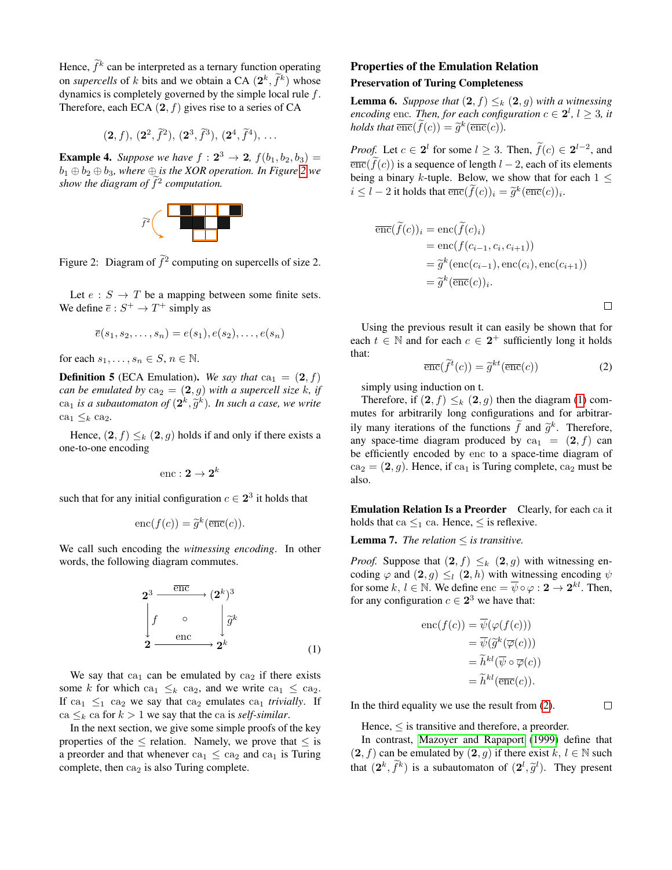Hence,  $\tilde{f}^k$  can be interpreted as a ternary function operating on *supercells* of k bits and we obtain a CA  $(2^k, \tilde{f}^k)$  whose dynamics is completely governed by the simple local rule f. Therefore, each ECA  $(2, f)$  gives rise to a series of CA

 $(2, f), (2^2, \tilde{f}^2), (2^3, \tilde{f}^3), (2^4, \tilde{f}^4), \ldots$ 

**Example 4.** Suppose we have  $f : 2^3 \to 2$ ,  $f(b_1, b_2, b_3) =$  $b_1 \oplus b_2 \oplus b_3$ , where  $\oplus$  *is the XOR operation. In Figure* [2](#page-2-0) we *show the diagram of*  $\tilde{f}^2$  computation.



<span id="page-2-0"></span>Figure 2: Diagram of  $\tilde{f}^2$  computing on supercells of size 2.

Let  $e : S \to T$  be a mapping between some finite sets. We define  $\overline{e}: S^+ \to T^+$  simply as

$$
\overline{e}(s_1, s_2, \dots, s_n) = e(s_1), e(s_2), \dots, e(s_n)
$$

for each  $s_1, \ldots, s_n \in S, n \in \mathbb{N}$ .

**Definition 5** (ECA Emulation). We say that  $ca_1 = (2, f)$ *can be emulated by*  $ca_2 = (2, g)$  *with a supercell size k, if*  $ca_1$  *is a subautomaton of*  $(2^k, \widetilde{g}^k)$ *. In such a case, we write* ca<sub>1</sub>  $\leq_k$  ca<sub>2</sub>.

Hence,  $(2, f) \leq_k (2, g)$  holds if and only if there exists a one-to-one encoding

$$
\mathrm{enc}: \mathbf{2} \to \mathbf{2}^k
$$

such that for any initial configuration  $c \in \mathbf{2}^3$  it holds that

$$
\mathrm{enc}(f(c)) = \widetilde{g}^k(\overline{\mathrm{enc}}(c)).
$$

We call such encoding the *witnessing encoding*. In other words, the following diagram commutes.

<span id="page-2-1"></span>
$$
2^{3} \xrightarrow{\overline{\text{enc}}}(2^{k})^{3}
$$

$$
\int_{2}^{1} \int_{\text{enc}}^{\circ} \int_{2^{k}}^{\overline{g}^{k}} \frac{\overline{g}}{2^{k}} \qquad (1)
$$

We say that  $ca<sub>1</sub>$  can be emulated by  $ca<sub>2</sub>$  if there exists some k for which ca<sub>1</sub>  $\leq$ <sub>k</sub> ca<sub>2</sub>, and we write ca<sub>1</sub>  $\leq$  ca<sub>2</sub>. If ca<sub>1</sub>  $\leq_1$  ca<sub>2</sub> we say that ca<sub>2</sub> emulates ca<sub>1</sub> *trivially*. If ca  $\leq_k$  ca for  $k > 1$  we say that the ca is *self-similar*.

In the next section, we give some simple proofs of the key properties of the  $\leq$  relation. Namely, we prove that  $\leq$  is a preorder and that whenever  $ca_1 \n\leq ca_2$  and  $ca_1$  is Turing complete, then  $ca<sub>2</sub>$  is also Turing complete.

# Properties of the Emulation Relation

## Preservation of Turing Completeness

**Lemma 6.** *Suppose that*  $(2, f) \leq_k (2, g)$  *with a witnessing encoding* enc. Then, for each configuration  $c \in \mathbf{2}^l$ ,  $l \geq 3$ , it *holds that*  $\overline{\text{enc}}(\overline{f}(c)) = \widetilde{g}^k(\overline{\text{enc}}(c)).$ 

*Proof.* Let  $c \in \mathbf{2}^l$  for some  $l \geq 3$ . Then,  $\hat{f}(c) \in \mathbf{2}^{l-2}$ , and  $\overline{\text{enc}}(\widetilde{f}(c))$  is a sequence of length  $l-2$ , each of its elements being a binary k-tuple. Below, we show that for each  $1 \leq$  $i \leq l-2$  it holds that  $\overline{\text{enc}}(\widehat{f}(c))_i = \widetilde{g}^k(\overline{\text{enc}}(c))_i$ .

$$
\overline{\text{enc}}(\widetilde{f}(c))_i = \text{enc}(\widetilde{f}(c)_i)
$$
  
= 
$$
\text{enc}(f(c_{i-1}, c_i, c_{i+1}))
$$
  
= 
$$
\widetilde{g}^k(\text{enc}(c_{i-1}), \text{enc}(c_i), \text{enc}(c_{i+1}))
$$
  
= 
$$
\widetilde{g}^k(\overline{\text{enc}}(c))_i.
$$

 $\Box$ 

Using the previous result it can easily be shown that for each  $t \in \mathbb{N}$  and for each  $c \in 2^+$  sufficiently long it holds that:

<span id="page-2-2"></span>
$$
\overline{\text{enc}}(\widetilde{f}^t(c)) = \widetilde{g}^{kt}(\overline{\text{enc}}(c))
$$
 (2)

simply using induction on t.

Therefore, if  $(2, f) \leq_k (2, g)$  then the diagram [\(1\)](#page-2-1) commutes for arbitrarily long configurations and for arbitrarily many iterations of the functions  $\tilde{f}$  and  $\tilde{g}^k$ . Therefore, any space-time diagram produced by  $ca_1 = (2, f)$  can be efficiently encoded by enc to a space-time diagram of  $ca_2 = (2, g)$ . Hence, if  $ca_1$  is Turing complete,  $ca_2$  must be also.

Emulation Relation Is a Preorder Clearly, for each ca it holds that ca  $\leq_1$  ca. Hence,  $\leq$  is reflexive.

**Lemma 7.** *The relation*  $\leq$  *is transitive.* 

*Proof.* Suppose that  $(2, f) \leq_k (2, g)$  with witnessing encoding  $\varphi$  and  $(2, g) \leq l (2, h)$  with witnessing encoding  $\psi$ for some  $k, l \in \mathbb{N}$ . We define  $\text{enc} = \overline{\psi} \circ \varphi : \mathbf{2} \to \mathbf{2}^{kl}$ . Then, for any configuration  $c \in 2^3$  we have that:

enc
$$
(f(c)) = \overline{\psi}(\varphi(f(c)))
$$
  
\n $= \overline{\psi}(\widetilde{g}^k(\overline{\varphi}(c)))$   
\n $= \widetilde{h}^{kl}(\overline{\psi} \circ \overline{\varphi}(c))$   
\n $= \widetilde{h}^{kl}(\overline{\text{enc}}(c)).$ 

In the third equality we use the result from [\(2\)](#page-2-2).

 $\Box$ 

Hence,  $\leq$  is transitive and therefore, a preorder.

In contrast, [Mazoyer and Rapaport](#page-7-10) [\(1999\)](#page-7-10) define that  $(2, f)$  can be emulated by  $(2, g)$  if there exist  $k, l \in \mathbb{N}$  such that  $(2^k, \tilde{f}^k)$  is a subautomaton of  $(2^l, \tilde{g}^l)$ . They present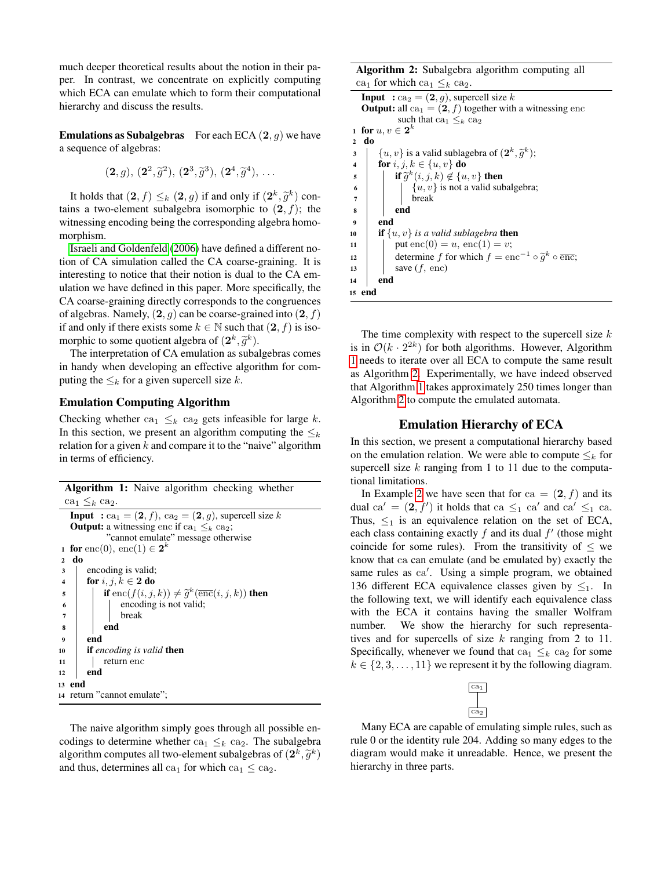much deeper theoretical results about the notion in their paper. In contrast, we concentrate on explicitly computing which ECA can emulate which to form their computational hierarchy and discuss the results.

**Emulations as Subalgebras** For each ECA  $(2, q)$  we have a sequence of algebras:

$$
(2, g), (2^2, \tilde{g}^2), (2^3, \tilde{g}^3), (2^4, \tilde{g}^4), \ldots
$$

It holds that  $(2, f) \leq k (2, g)$  if and only if  $(2^k, \tilde{g}^k)$  con-<br>ns. a two element subglobes isomorphic to  $(2, f)$ ; the tains a two-element subalgebra isomorphic to  $(2, f)$ ; the witnessing encoding being the corresponding algebra homomorphism.

[Israeli and Goldenfeld](#page-7-15) [\(2006\)](#page-7-15) have defined a different notion of CA simulation called the CA coarse-graining. It is interesting to notice that their notion is dual to the CA emulation we have defined in this paper. More specifically, the CA coarse-graining directly corresponds to the congruences of algebras. Namely,  $(2, g)$  can be coarse-grained into  $(2, f)$ if and only if there exists some  $k \in \mathbb{N}$  such that  $(2, f)$  is isomorphic to some quotient algebra of  $(2^k, \tilde{g}^k)$ .<br>The interpretation of  $\tilde{G}$  a emulation as sub-

The interpretation of CA emulation as subalgebras comes in handy when developing an effective algorithm for computing the  $\leq_k$  for a given supercell size k.

## Emulation Computing Algorithm

Checking whether  $ca_1 \leq_k ca_2$  gets infeasible for large k. In this section, we present an algorithm computing the  $\leq_k$ relation for a given  $k$  and compare it to the "naive" algorithm in terms of efficiency.

| <b>Algorithm 1:</b> Naive algorithm checking whether                                      |                                                                             |  |  |  |
|-------------------------------------------------------------------------------------------|-----------------------------------------------------------------------------|--|--|--|
| $ca_1 \leq_k ca_2$ .                                                                      |                                                                             |  |  |  |
| <b>Input</b> : ca <sub>1</sub> = $(2, f)$ , ca <sub>2</sub> = $(2, g)$ , supercell size k |                                                                             |  |  |  |
| <b>Output:</b> a witnessing enc if ca <sub>1</sub> $\leq_k$ ca <sub>2</sub> ;             |                                                                             |  |  |  |
| "cannot emulate" message otherwise                                                        |                                                                             |  |  |  |
| for enc(0), enc(1) $\in$ 2 <sup>k</sup><br>1                                              |                                                                             |  |  |  |
| do<br>$\overline{2}$                                                                      |                                                                             |  |  |  |
| 3                                                                                         | encoding is valid;                                                          |  |  |  |
|                                                                                           |                                                                             |  |  |  |
| $\overline{\mathbf{4}}$                                                                   | for i, j, $k \in \mathbf{2}$ do                                             |  |  |  |
| 5                                                                                         | if enc $(f(i, j, k)) \neq \tilde{g}^k(\overline{\text{enc}}(i, j, k))$ then |  |  |  |
| $6\phantom{1}$                                                                            | encoding is not valid;                                                      |  |  |  |
| $\overline{7}$                                                                            | break                                                                       |  |  |  |
| 8                                                                                         | end                                                                         |  |  |  |
| $\boldsymbol{9}$                                                                          | end                                                                         |  |  |  |
| 10                                                                                        | <b>if</b> encoding is valid <b>then</b>                                     |  |  |  |
| 11                                                                                        | return enc                                                                  |  |  |  |
| 12                                                                                        | end                                                                         |  |  |  |
| 13                                                                                        | end                                                                         |  |  |  |
|                                                                                           | 14 return "cannot emulate";                                                 |  |  |  |

<span id="page-3-0"></span>The naive algorithm simply goes through all possible encodings to determine whether ca<sub>1</sub>  $\leq_k$  ca<sub>2</sub>. The subalgebra algorithm computes all two-element subalgebras of  $(2^k, \tilde{g}^k)$ <br>and thus determines all co, for which co,  $\leq$  co, and thus, determines all ca<sub>1</sub> for which ca<sub>1</sub>  $\leq$  ca<sub>2</sub>.

Algorithm 2: Subalgebra algorithm computing all ca<sub>1</sub> for which ca<sub>1</sub>  $\leq_k$  ca<sub>2</sub>.

| -- ----- ---                                                                                      |  |  |  |  |
|---------------------------------------------------------------------------------------------------|--|--|--|--|
| <b>Input</b> : ca <sub>2</sub> = $(2, g)$ , supercell size k                                      |  |  |  |  |
| <b>Output:</b> all ca <sub>1</sub> = $(2, f)$ together with a witnessing enc                      |  |  |  |  |
| such that $ca_1 \leq_k ca_2$                                                                      |  |  |  |  |
| for $u, v \in 2^k$<br>$\mathbf{1}$                                                                |  |  |  |  |
| do<br>$\overline{2}$                                                                              |  |  |  |  |
| $\{u, v\}$ is a valid sublagebra of $(2^k, \tilde{g}^k)$ ;<br>3                                   |  |  |  |  |
| for i, j, $k \in \{u, v\}$ do<br>$\overline{\mathbf{4}}$                                          |  |  |  |  |
| if $\widetilde{g}^k(i,j,k) \notin \{u,v\}$ then<br>5                                              |  |  |  |  |
| $\{u, v\}$ is not a valid subalgebra;<br>6                                                        |  |  |  |  |
| break<br>7                                                                                        |  |  |  |  |
| end<br>8                                                                                          |  |  |  |  |
| end<br>9                                                                                          |  |  |  |  |
| <b>if</b> $\{u, v\}$ is a valid sublagebra <b>then</b><br>10                                      |  |  |  |  |
| put enc $(0) = u$ , enc $(1) = v$ ;<br>11                                                         |  |  |  |  |
| determine f for which $f = \text{enc}^{-1} \circ \tilde{g}^k \circ \overline{\text{enc}}$ ;<br>12 |  |  |  |  |
| save $(f, \text{enc})$<br>13                                                                      |  |  |  |  |
| end<br>14                                                                                         |  |  |  |  |
| 15<br>end                                                                                         |  |  |  |  |

<span id="page-3-1"></span>The time complexity with respect to the supercell size  $k$ is in  $\mathcal{O}(k \cdot 2^{2k})$  for both algorithms. However, Algorithm [1](#page-3-0) needs to iterate over all ECA to compute the same result as Algorithm [2.](#page-3-1) Experimentally, we have indeed observed that Algorithm [1](#page-3-0) takes approximately 250 times longer than Algorithm [2](#page-3-1) to compute the emulated automata.

## Emulation Hierarchy of ECA

In this section, we present a computational hierarchy based on the emulation relation. We were able to compute  $\leq_k$  for supercell size  $k$  ranging from 1 to 11 due to the computational limitations.

In Example [2](#page-1-0) we have seen that for ca  $= (2, f)$  and its dual ca' =  $(2, f')$  it holds that ca  $\leq_1$  ca' and ca'  $\leq_1$  ca. Thus,  $\leq_1$  is an equivalence relation on the set of ECA, each class containing exactly  $f$  and its dual  $f'$  (those might coincide for some rules). From the transitivity of  $\leq$  we know that ca can emulate (and be emulated by) exactly the same rules as ca'. Using a simple program, we obtained 136 different ECA equivalence classes given by  $\leq_1$ . In the following text, we will identify each equivalence class with the ECA it contains having the smaller Wolfram number. We show the hierarchy for such representatives and for supercells of size  $k$  ranging from 2 to 11. Specifically, whenever we found that ca<sub>1</sub>  $\leq_k$  ca<sub>2</sub> for some  $k \in \{2, 3, \ldots, 11\}$  we represent it by the following diagram.



Many ECA are capable of emulating simple rules, such as rule 0 or the identity rule 204. Adding so many edges to the diagram would make it unreadable. Hence, we present the hierarchy in three parts.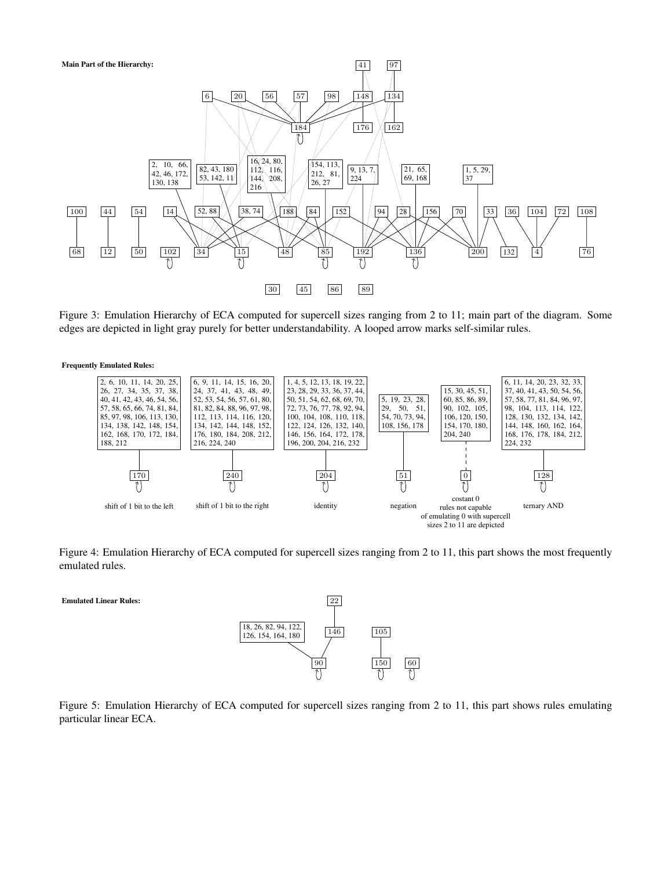

<span id="page-4-0"></span>Figure 3: Emulation Hierarchy of ECA computed for supercell sizes ranging from 2 to 11; main part of the diagram. Some edges are depicted in light gray purely for better understandability. A looped arrow marks self-similar rules.





<span id="page-4-1"></span>Figure 4: Emulation Hierarchy of ECA computed for supercell sizes ranging from 2 to 11, this part shows the most frequently emulated rules.

Emulated Linear Rules:



<span id="page-4-2"></span>Figure 5: Emulation Hierarchy of ECA computed for supercell sizes ranging from 2 to 11, this part shows rules emulating particular linear ECA.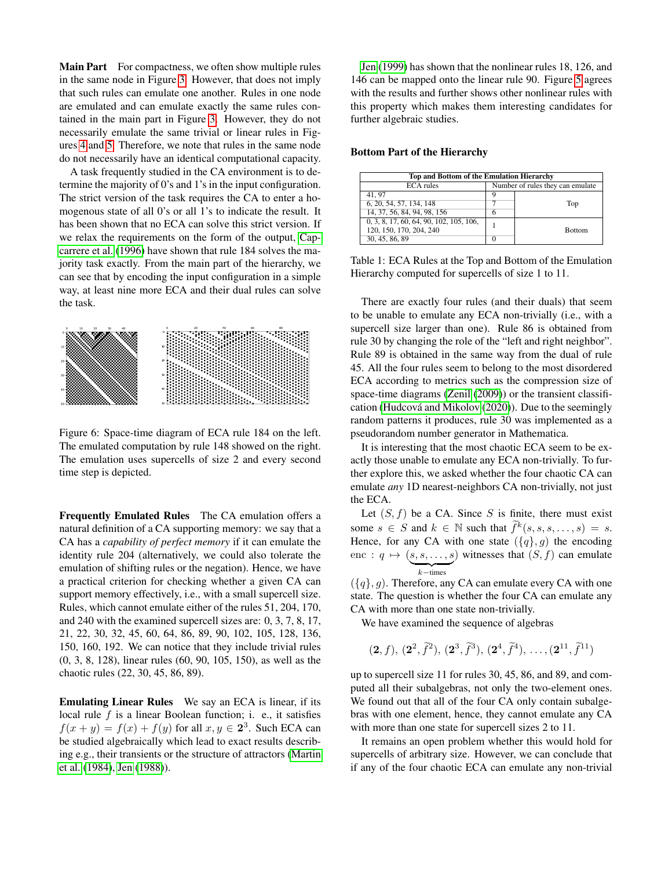Main Part For compactness, we often show multiple rules in the same node in Figure [3.](#page-4-0) However, that does not imply that such rules can emulate one another. Rules in one node are emulated and can emulate exactly the same rules contained in the main part in Figure [3.](#page-4-0) However, they do not necessarily emulate the same trivial or linear rules in Figures [4](#page-4-1) and [5.](#page-4-2) Therefore, we note that rules in the same node do not necessarily have an identical computational capacity.

A task frequently studied in the CA environment is to determine the majority of 0's and 1's in the input configuration. The strict version of the task requires the CA to enter a homogenous state of all 0's or all 1's to indicate the result. It has been shown that no ECA can solve this strict version. If we relax the requirements on the form of the output, [Cap](#page-7-18)[carrere et al.](#page-7-18) [\(1996\)](#page-7-18) have shown that rule 184 solves the majority task exactly. From the main part of the hierarchy, we can see that by encoding the input configuration in a simple way, at least nine more ECA and their dual rules can solve the task.



Figure 6: Space-time diagram of ECA rule 184 on the left. The emulated computation by rule 148 showed on the right. The emulation uses supercells of size 2 and every second time step is depicted.

Frequently Emulated Rules The CA emulation offers a natural definition of a CA supporting memory: we say that a CA has a *capability of perfect memory* if it can emulate the identity rule 204 (alternatively, we could also tolerate the emulation of shifting rules or the negation). Hence, we have a practical criterion for checking whether a given CA can support memory effectively, i.e., with a small supercell size. Rules, which cannot emulate either of the rules 51, 204, 170, and 240 with the examined supercell sizes are: 0, 3, 7, 8, 17, 21, 22, 30, 32, 45, 60, 64, 86, 89, 90, 102, 105, 128, 136, 150, 160, 192. We can notice that they include trivial rules (0, 3, 8, 128), linear rules (60, 90, 105, 150), as well as the chaotic rules (22, 30, 45, 86, 89).

Emulating Linear Rules We say an ECA is linear, if its local rule  $f$  is a linear Boolean function; i. e., it satisfies  $f(x + y) = f(x) + f(y)$  for all  $x, y \in 2<sup>3</sup>$ . Such ECA can be studied algebraically which lead to exact results describing e.g., their transients or the structure of attractors [\(Martin](#page-7-19) [et al.](#page-7-19) [\(1984\)](#page-7-19), [Jen](#page-7-20) [\(1988\)](#page-7-20)).

[Jen](#page-7-21) [\(1999\)](#page-7-21) has shown that the nonlinear rules 18, 126, and 146 can be mapped onto the linear rule 90. Figure [5](#page-4-2) agrees with the results and further shows other nonlinear rules with this property which makes them interesting candidates for further algebraic studies.

### Bottom Part of the Hierarchy

| <b>Top and Bottom of the Emulation Hierarchy</b> |                                  |               |  |  |
|--------------------------------------------------|----------------------------------|---------------|--|--|
| <b>ECA</b> rules                                 | Number of rules they can emulate |               |  |  |
| 41.97                                            |                                  |               |  |  |
| 6, 20, 54, 57, 134, 148                          |                                  | Top           |  |  |
| 14, 37, 56, 84, 94, 98, 156                      |                                  |               |  |  |
| 0, 3, 8, 17, 60, 64, 90, 102, 105, 106,          |                                  |               |  |  |
| 120, 150, 170, 204, 240                          |                                  | <b>Bottom</b> |  |  |
| 30, 45, 86, 89                                   |                                  |               |  |  |

Table 1: ECA Rules at the Top and Bottom of the Emulation Hierarchy computed for supercells of size 1 to 11.

There are exactly four rules (and their duals) that seem to be unable to emulate any ECA non-trivially (i.e., with a supercell size larger than one). Rule 86 is obtained from rule 30 by changing the role of the "left and right neighbor". Rule 89 is obtained in the same way from the dual of rule 45. All the four rules seem to belong to the most disordered ECA according to metrics such as the compression size of space-time diagrams [\(Zenil](#page-7-5) [\(2009\)](#page-7-5)) or the transient classifi-cation (Hudcová and Mikolov [\(2020\)](#page-7-22)). Due to the seemingly random patterns it produces, rule 30 was implemented as a pseudorandom number generator in Mathematica.

It is interesting that the most chaotic ECA seem to be exactly those unable to emulate any ECA non-trivially. To further explore this, we asked whether the four chaotic CA can emulate *any* 1D nearest-neighbors CA non-trivially, not just the ECA.

Let  $(S, f)$  be a CA. Since S is finite, there must exist some  $s \in S$  and  $k \in \mathbb{N}$  such that  $\widetilde{f}^k(s, s, s, \dots, s) = s$ . Hence, for any CA with one state  $({q}, g)$  the encoding enc :  $q \mapsto (s, s, \dots, s)$  witnesses that  $(S, f)$  can emulate  $\overline{k - \text{times}}$ 

 $({q}, q)$ . Therefore, any CA can emulate every CA with one state. The question is whether the four CA can emulate any CA with more than one state non-trivially.

We have examined the sequence of algebras

$$
(2, f), (2^2, \tilde{f}^2), (2^3, \tilde{f}^3), (2^4, \tilde{f}^4), \ldots, (2^{11}, \tilde{f}^{11})
$$

up to supercell size 11 for rules 30, 45, 86, and 89, and computed all their subalgebras, not only the two-element ones. We found out that all of the four CA only contain subalgebras with one element, hence, they cannot emulate any CA with more than one state for supercell sizes 2 to 11.

It remains an open problem whether this would hold for supercells of arbitrary size. However, we can conclude that if any of the four chaotic ECA can emulate any non-trivial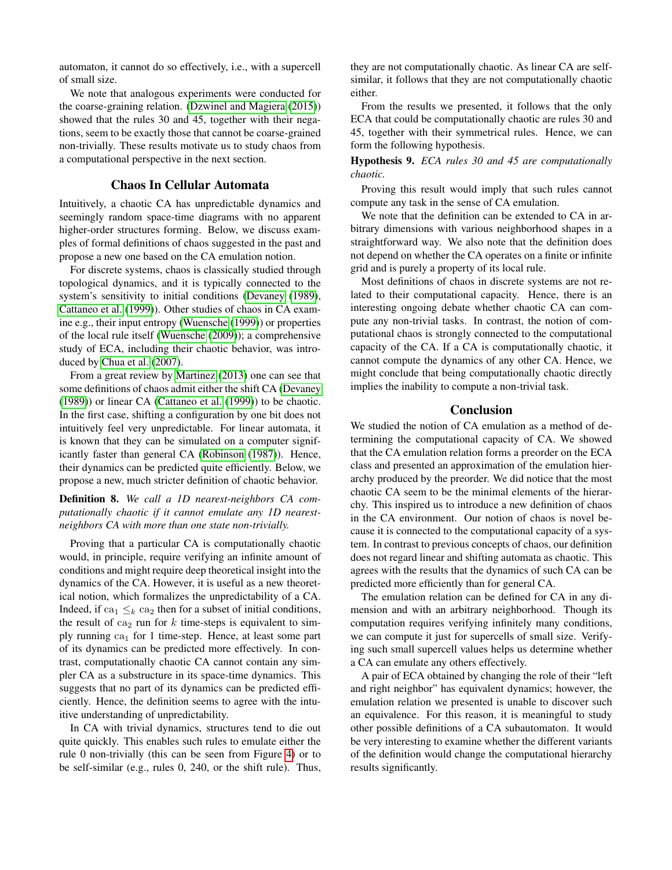automaton, it cannot do so effectively, i.e., with a supercell of small size.

We note that analogous experiments were conducted for the coarse-graining relation. [\(Dzwinel and Magiera](#page-7-23) [\(2015\)](#page-7-23)) showed that the rules 30 and 45, together with their negations, seem to be exactly those that cannot be coarse-grained non-trivially. These results motivate us to study chaos from a computational perspective in the next section.

## Chaos In Cellular Automata

Intuitively, a chaotic CA has unpredictable dynamics and seemingly random space-time diagrams with no apparent higher-order structures forming. Below, we discuss examples of formal definitions of chaos suggested in the past and propose a new one based on the CA emulation notion.

For discrete systems, chaos is classically studied through topological dynamics, and it is typically connected to the system's sensitivity to initial conditions [\(Devaney](#page-7-8) [\(1989\)](#page-7-8), [Cattaneo et al.](#page-7-24) [\(1999\)](#page-7-24)). Other studies of chaos in CA examine e.g., their input entropy [\(Wuensche](#page-7-25) [\(1999\)](#page-7-25)) or properties of the local rule itself [\(Wuensche](#page-7-26) [\(2009\)](#page-7-26)); a comprehensive study of ECA, including their chaotic behavior, was introduced by [Chua et al.](#page-7-27) [\(2007\)](#page-7-27).

From a great review by [Martinez](#page-7-28) [\(2013\)](#page-7-28) one can see that some definitions of chaos admit either the shift CA [\(Devaney](#page-7-8) [\(1989\)](#page-7-8)) or linear CA [\(Cattaneo et al.](#page-7-24) [\(1999\)](#page-7-24)) to be chaotic. In the first case, shifting a configuration by one bit does not intuitively feel very unpredictable. For linear automata, it is known that they can be simulated on a computer significantly faster than general CA [\(Robinson](#page-7-29) [\(1987\)](#page-7-29)). Hence, their dynamics can be predicted quite efficiently. Below, we propose a new, much stricter definition of chaotic behavior.

Definition 8. *We call a 1D nearest-neighbors CA computationally chaotic if it cannot emulate any 1D nearestneighbors CA with more than one state non-trivially.*

Proving that a particular CA is computationally chaotic would, in principle, require verifying an infinite amount of conditions and might require deep theoretical insight into the dynamics of the CA. However, it is useful as a new theoretical notion, which formalizes the unpredictability of a CA. Indeed, if ca<sub>1</sub>  $\leq_k$  ca<sub>2</sub> then for a subset of initial conditions, the result of  $ca_2$  run for k time-steps is equivalent to simply running  $ca<sub>1</sub>$  for 1 time-step. Hence, at least some part of its dynamics can be predicted more effectively. In contrast, computationally chaotic CA cannot contain any simpler CA as a substructure in its space-time dynamics. This suggests that no part of its dynamics can be predicted efficiently. Hence, the definition seems to agree with the intuitive understanding of unpredictability.

In CA with trivial dynamics, structures tend to die out quite quickly. This enables such rules to emulate either the rule 0 non-trivially (this can be seen from Figure [4\)](#page-4-1) or to be self-similar (e.g., rules 0, 240, or the shift rule). Thus,

they are not computationally chaotic. As linear CA are selfsimilar, it follows that they are not computationally chaotic either.

From the results we presented, it follows that the only ECA that could be computationally chaotic are rules 30 and 45, together with their symmetrical rules. Hence, we can form the following hypothesis.

Hypothesis 9. *ECA rules 30 and 45 are computationally chaotic.*

Proving this result would imply that such rules cannot compute any task in the sense of CA emulation.

We note that the definition can be extended to CA in arbitrary dimensions with various neighborhood shapes in a straightforward way. We also note that the definition does not depend on whether the CA operates on a finite or infinite grid and is purely a property of its local rule.

Most definitions of chaos in discrete systems are not related to their computational capacity. Hence, there is an interesting ongoing debate whether chaotic CA can compute any non-trivial tasks. In contrast, the notion of computational chaos is strongly connected to the computational capacity of the CA. If a CA is computationally chaotic, it cannot compute the dynamics of any other CA. Hence, we might conclude that being computationally chaotic directly implies the inability to compute a non-trivial task.

## **Conclusion**

We studied the notion of CA emulation as a method of determining the computational capacity of CA. We showed that the CA emulation relation forms a preorder on the ECA class and presented an approximation of the emulation hierarchy produced by the preorder. We did notice that the most chaotic CA seem to be the minimal elements of the hierarchy. This inspired us to introduce a new definition of chaos in the CA environment. Our notion of chaos is novel because it is connected to the computational capacity of a system. In contrast to previous concepts of chaos, our definition does not regard linear and shifting automata as chaotic. This agrees with the results that the dynamics of such CA can be predicted more efficiently than for general CA.

The emulation relation can be defined for CA in any dimension and with an arbitrary neighborhood. Though its computation requires verifying infinitely many conditions, we can compute it just for supercells of small size. Verifying such small supercell values helps us determine whether a CA can emulate any others effectively.

A pair of ECA obtained by changing the role of their "left and right neighbor" has equivalent dynamics; however, the emulation relation we presented is unable to discover such an equivalence. For this reason, it is meaningful to study other possible definitions of a CA subautomaton. It would be very interesting to examine whether the different variants of the definition would change the computational hierarchy results significantly.